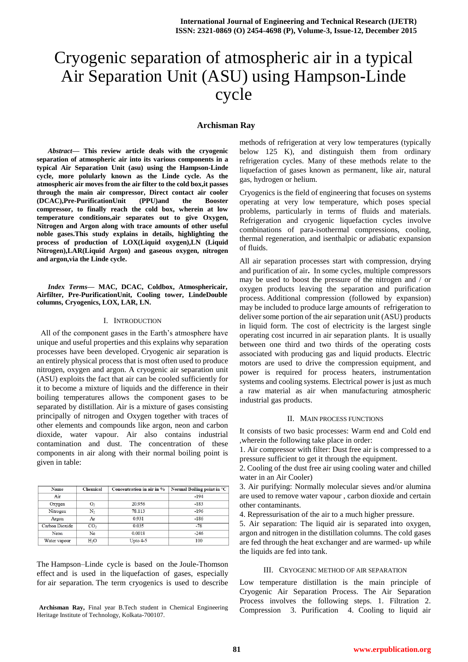# Cryogenic separation of atmospheric air in a typical Air Separation Unit (ASU) using Hampson-Linde cycle

# **Archisman Ray**

*Abstract***— This review article deals with the cryogenic separation of atmospheric air into its various components in a typical Air Separation Unit (asu) using the Hampson-Linde cycle, more polularly known as the Linde cycle. As the atmospheric air moves from the air filter to the cold box,it passes through the main air compressor, Direct contact air cooler (DCAC),Pre-PurificationUnit (PPU)and the Booster compressor, to finally reach the cold box, wherein at low temperature conditions,air separates out to give Oxygen, Nitrogen and Argon along with trace amounts of other useful noble gases.This study explains in details, highlighting the process of production of LOX(Liquid oxygen),LN (Liquid Nitrogen),LAR(Liquid Argon) and gaseous oxygen, nitrogen and argon,via the Linde cycle.**

*Index Terms***— MAC, DCAC, Coldbox, Atmosphericair, Airfilter, Pre-PurificationUnit, Cooling tower, LindeDouble columns, Cryogenics, LOX, LAR, LN.**

#### I. INTRODUCTION

 All of the component gases in the Earth's atmosphere have unique and useful properties and this explains why separation processes have been developed. Cryogenic air separation is an entirely physical process that is most often used to produce nitrogen, oxygen and argon. A cryogenic air separation unit (ASU) exploits the fact that air can be cooled sufficiently for it to become a mixture of liquids and the difference in their boiling temperatures allows the component gases to be separated by distillation. Air is a mixture of gases consisting principally of nitrogen and Oxygen together with traces of other elements and compounds like argon, neon and carbon dioxide, water vapour. Air also contains industrial contamination and dust. The concentration of these components in air along with their normal boiling point is given in table:

| Name           | Chemical         | Concentration in air in % | Normal Boiling point in °C |
|----------------|------------------|---------------------------|----------------------------|
| Air            |                  |                           | $-194$                     |
| Oxygen         | O2               | 20.956                    | $-183$                     |
| Nitrogen       | N,               | 78.113                    | $-196$                     |
| Argon          | Ar               | 0.931                     | $-186$                     |
| Carbon Dioxide | CO <sub>2</sub>  | 0.035                     | $-78$                      |
| Neon           | Ne               | 0.0018                    | $-246$                     |
| Water vapour   | H <sub>2</sub> O | Upto 4-5                  | 100                        |

The Hampson–Linde cycle is based on the [Joule-Thomson](https://en.wikipedia.org/wiki/Joule-Thomson_effect)  [effect](https://en.wikipedia.org/wiki/Joule-Thomson_effect) and is used in the [liquefaction of gases,](https://en.wikipedia.org/wiki/Liquefaction_of_gases) especially for air separation. The term cryogenics is used to describe

**Archisman Ray,** Final year B.Tech student in Chemical Engineering Heritage Institute of Technology, Kolkata-700107.

methods of refrigeration at very low temperatures (typically below 125 K), and distinguish them from ordinary refrigeration cycles. Many of these methods relate to the liquefaction of gases known as permanent, like air, natural gas, hydrogen or helium.

Cryogenics is the field of engineering that focuses on systems operating at very low temperature, which poses special problems, particularly in terms of fluids and materials. Refrigeration and cryogenic liquefaction cycles involve combinations of para-isothermal compressions, cooling, thermal regeneration, and isenthalpic or adiabatic expansion of fluids.

All air separation processes start with compression, drying and purification of air**.** In some cycles, multiple compressors may be used to boost the pressure of the nitrogen and / or oxygen products leaving the separation and purification process. Additional compression (followed by expansion) may be included to produce large amounts of refrigeration to deliver some portion of the air separation unit (ASU) products in liquid form. The cost of electricity is the largest single operating cost incurred in air separation plants. It is usually between one third and two thirds of the operating costs associated with producing gas and liquid products. Electric motors are used to drive the compression equipment, and power is required for process heaters, instrumentation systems and cooling systems. Electrical power is just as much a raw material as air when manufacturing atmospheric industrial gas products.

#### II. MAIN PROCESS FUNCTIONS

It consists of two basic processes: Warm end and Cold end ,wherein the following take place in order:

1. Air compressor with filter: Dust free air is compressed to a pressure sufficient to get it through the equipment.

2. Cooling of the dust free air using cooling water and chilled water in an Air Cooler)

3. Air purifying: Normally molecular sieves and/or alumina are used to remove water vapour , carbon dioxide and certain other contaminants.

4. Repressurisation of the air to a much higher pressure.

5. Air separation: The liquid air is separated into oxygen, argon and nitrogen in the distillation columns. The cold gases are fed through the heat exchanger and are warmed- up while the liquids are fed into tank.

#### III. CRYOGENIC METHOD OF AIR SEPARATION

Low temperature distillation is the main principle of Cryogenic Air Separation Process. The Air Separation Process involves the following steps. 1. Filtration 2. Compression 3. Purification 4. Cooling to liquid air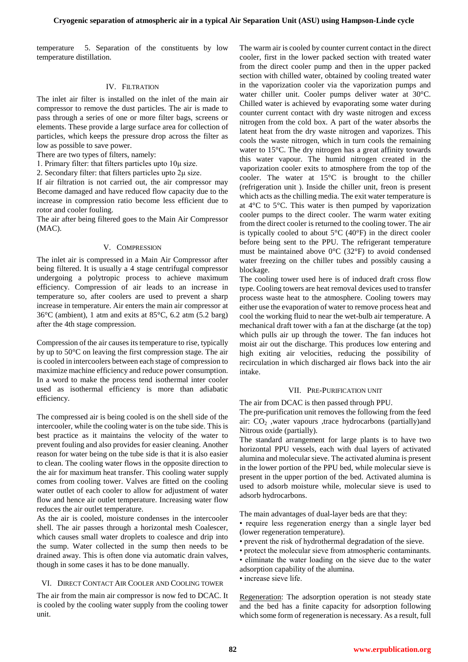temperature 5. Separation of the constituents by low temperature distillation.

## IV. FILTRATION

The inlet air filter is installed on the inlet of the main air compressor to remove the dust particles. The air is made to pass through a series of one or more filter bags, screens or elements. These provide a large surface area for collection of particles, which keeps the pressure drop across the filter as low as possible to save power.

There are two types of filters, namely:

1. Primary filter: that filters particles upto 10μ size.

2. Secondary filter: that filters particles upto 2μ size.

If air filtration is not carried out, the air compressor may Become damaged and have reduced flow capacity due to the increase in compression ratio become less efficient due to rotor and cooler fouling.

The air after being filtered goes to the Main Air Compressor (MAC).

## V. COMPRESSION

The inlet air is compressed in a Main Air Compressor after being filtered. It is usually a 4 stage centrifugal compressor undergoing a polytropic process to achieve maximum efficiency. Compression of air leads to an increase in temperature so, after coolers are used to prevent a sharp increase in temperature. Air enters the main air compressor at 36°C (ambient), 1 atm and exits at 85°C, 6.2 atm (5.2 barg) after the 4th stage compression.

Compression of the air causes its temperature to rise, typically by up to 50°C on leaving the first compression stage. The air is cooled in intercoolers between each stage of compression to maximize machine efficiency and reduce power consumption. In a word to make the process tend isothermal inter cooler used as isothermal efficiency is more than adiabatic efficiency.

The compressed air is being cooled is on the shell side of the intercooler, while the cooling water is on the tube side. This is best practice as it maintains the velocity of the water to prevent fouling and also provides for easier cleaning. Another reason for water being on the tube side is that it is also easier to clean. The cooling water flows in the opposite direction to the air for maximum heat transfer. This cooling water supply comes from cooling tower. Valves are fitted on the cooling water outlet of each cooler to allow for adjustment of water flow and hence air outlet temperature. Increasing water flow reduces the air outlet temperature.

As the air is cooled, moisture condenses in the intercooler shell. The air passes through a horizontal mesh Coalescer, which causes small water droplets to coalesce and drip into the sump. Water collected in the sump then needs to be drained away. This is often done via automatic drain valves, though in some cases it has to be done manually.

#### VI. DIRECT CONTACT AIR COOLER AND COOLING TOWER

The air from the main air compressor is now fed to DCAC. It is cooled by the cooling water supply from the cooling tower unit.

The warm air is cooled by counter current contact in the direct cooler, first in the lower packed section with treated water from the direct cooler pump and then in the upper packed section with chilled water, obtained by cooling treated water in the vaporization cooler via the vaporization pumps and water chiller unit. Cooler pumps deliver water at 30°C. Chilled water is achieved by evaporating some water during counter current contact with dry waste nitrogen and excess nitrogen from the cold box. A part of the water absorbs the latent heat from the dry waste nitrogen and vaporizes. This cools the waste nitrogen, which in turn cools the remaining water to 15°C. The dry nitrogen has a great affinity towards this water vapour. The humid nitrogen created in the vaporization cooler exits to atmosphere from the top of the cooler. The water at 15°C is brought to the chiller (refrigeration unit ). Inside the chiller unit, freon is present which acts as the chilling media. The exit water temperature is at 4°C to 5°C. This water is then pumped by vaporization cooler pumps to the direct cooler. The warm water exiting from the direct cooler is returned to the cooling tower. The air is typically cooled to about  $5^{\circ}$ C (40 $^{\circ}$ F) in the direct cooler before being sent to the PPU. The refrigerant temperature must be maintained above  $0^{\circ}$ C (32 $^{\circ}$ F) to avoid condensed water freezing on the chiller tubes and possibly causing a blockage.

The cooling tower used here is of induced draft cross flow type. Cooling towers are heat removal devices used to transfer process waste heat to the atmosphere. Cooling towers may either use the evaporation of water to remove process heat and cool the working fluid to near the wet-bulb air temperature. A mechanical draft tower with a fan at the discharge (at the top) which pulls air up through the tower. The fan induces hot moist air out the discharge. This produces low entering and high exiting air velocities, reducing the possibility of recirculation in which discharged air flows back into the air intake.

## VII. PRE-PURIFICATION UNIT

The air from DCAC is then passed through PPU.

The pre-purification unit removes the following from the feed air:  $CO<sub>2</sub>$ , water vapours ,trace hydrocarbons (partially)and Nitrous oxide (partially).

The standard arrangement for large plants is to have two horizontal PPU vessels, each with dual layers of activated alumina and molecular sieve. The activated alumina is present in the lower portion of the PPU bed, while molecular sieve is present in the upper portion of the bed. Activated alumina is used to adsorb moisture while, molecular sieve is used to adsorb hydrocarbons.

The main advantages of dual-layer beds are that they:

- require less regeneration energy than a single layer bed (lower regeneration temperature).
- prevent the risk of hydrothermal degradation of the sieve.
- protect the molecular sieve from atmospheric contaminants.
- eliminate the water loading on the sieve due to the water adsorption capability of the alumina.
- increase sieve life.

Regeneration: The adsorption operation is not steady state and the bed has a finite capacity for adsorption following which some form of regeneration is necessary. As a result, full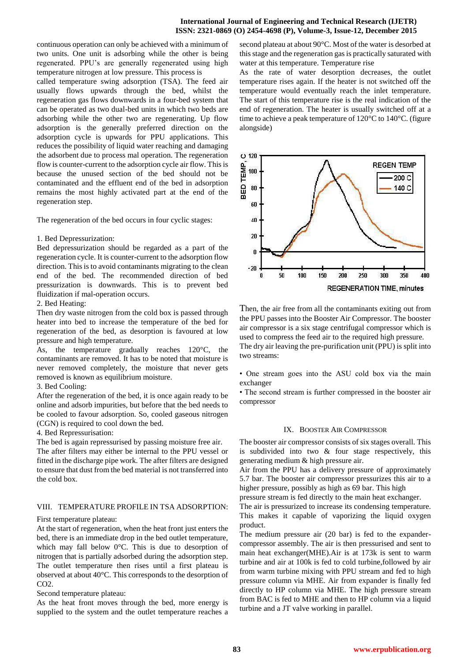continuous operation can only be achieved with a minimum of two units. One unit is adsorbing while the other is being regenerated. PPU's are generally regenerated using high temperature nitrogen at low pressure. This process is

called temperature swing adsorption (TSA). The feed air usually flows upwards through the bed, whilst the regeneration gas flows downwards in a four-bed system that can be operated as two dual-bed units in which two beds are adsorbing while the other two are regenerating. Up flow adsorption is the generally preferred direction on the adsorption cycle is upwards for PPU applications. This reduces the possibility of liquid water reaching and damaging the adsorbent due to process mal operation. The regeneration flow is counter-current to the adsorption cycle air flow. This is because the unused section of the bed should not be contaminated and the effluent end of the bed in adsorption remains the most highly activated part at the end of the regeneration step.

The regeneration of the bed occurs in four cyclic stages:

# 1. Bed Depressurization:

Bed depressurization should be regarded as a part of the regeneration cycle. It is counter-current to the adsorption flow direction. This is to avoid contaminants migrating to the clean end of the bed. The recommended direction of bed pressurization is downwards. This is to prevent bed fluidization if mal-operation occurs.

# 2. Bed Heating:

Then dry waste nitrogen from the cold box is passed through heater into bed to increase the temperature of the bed for regeneration of the bed, as desorption is favoured at low pressure and high temperature.

As, the temperature gradually reaches 120°C, the contaminants are removed. It has to be noted that moisture is never removed completely, the moisture that never gets removed is known as equilibrium moisture.

# 3. Bed Cooling:

the cold box.

After the regeneration of the bed, it is once again ready to be online and adsorb impurities, but before that the bed needs to be cooled to favour adsorption. So, cooled gaseous nitrogen (CGN) is required to cool down the bed.

## 4. Bed Repressurisation:

The bed is again repressurised by passing moisture free air. The after filters may either be internal to the PPU vessel or fitted in the discharge pipe work. The after filters are designed to ensure that dust from the bed material is not transferred into

# VIII. TEMPERATURE PROFILE IN TSA ADSORPTION:

First temperature plateau:

At the start of regeneration, when the heat front just enters the bed, there is an immediate drop in the bed outlet temperature, which may fall below 0°C. This is due to desorption of nitrogen that is partially adsorbed during the adsorption step. The outlet temperature then rises until a first plateau is observed at about 40°C. This corresponds to the desorption of CO2.

Second temperature plateau:

As the heat front moves through the bed, more energy is supplied to the system and the outlet temperature reaches a second plateau at about 90°C. Most of the water is desorbed at this stage and the regeneration gas is practically saturated with water at this temperature. Temperature rise

As the rate of water desorption decreases, the outlet temperature rises again. If the heater is not switched off the temperature would eventually reach the inlet temperature. The start of this temperature rise is the real indication of the end of regeneration. The heater is usually switched off at a time to achieve a peak temperature of 120°C to 140°C. (figure alongside)



Then, the air free from all the contaminants exiting out from the PPU passes into the Booster Air Compressor. The booster air compressor is a six stage centrifugal compressor which is used to compress the feed air to the required high pressure. The dry air leaving the pre-purification unit (PPU) is split into two streams:

• One stream goes into the ASU cold box via the main exchanger

• The second stream is further compressed in the booster air compressor

# IX. BOOSTER AIR COMPRESSOR

The booster air compressor consists of six stages overall. This is subdivided into two & four stage respectively, this generating medium & high pressure air.

Air from the PPU has a delivery pressure of approximately 5.7 bar. The booster air compressor pressurizes this air to a higher pressure, possibly as high as 69 bar. This high

pressure stream is fed directly to the main heat exchanger.

The air is pressurized to increase its condensing temperature. This makes it capable of vaporizing the liquid oxygen product.

The medium pressure air (20 bar) is fed to the expandercompressor assembly. The air is then pressurised and sent to main heat exchanger(MHE).Air is at 173k is sent to warm turbine and air at 100k is fed to cold turbine,followed by air from warm turbine mixing with PPU stream and fed to high pressure column via MHE. Air from expander is finally fed directly to HP column via MHE. The high pressure stream from BAC is fed to MHE and then to HP column via a liquid turbine and a JT valve working in parallel.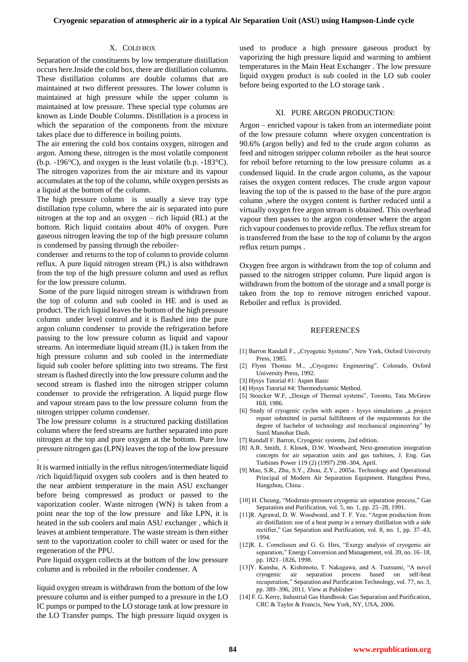## X. COLD BOX

Separation of the constituents by low temperature distillation occurs here.Inside the cold box, there are distillation columns. These distillation columns are double columns that are maintained at two different pressures. The lower column is maintained at high pressure while the upper column is maintained at low pressure. These special type columns are known as Linde Double Columns. Distillation is a process in which the separation of the components from the mixture takes place due to difference in boiling points.

The air entering the cold box contains oxygen, nitrogen and argon. Among these, nitrogen is the most volatile component (b.p. -196°C), and oxygen is the least volatile (b.p. -183°C). The nitrogen vaporizes from the air mixture and its vapour accumulates at the top of the column, while oxygen persists as a liquid at the bottom of the column.

The high pressure column is usually a sieve tray type distillation type column, where the air is separated into pure nitrogen at the top and an oxygen – rich liquid (RL) at the bottom. Rich liquid contains about 40% of oxygen. Pure gaseous nitrogen leaving the top of the high pressure column is condensed by passing through the reboiler-

condenser and returns to the top of column to provide column reflux. A pure liquid nitrogen stream (PL) is also withdrawn from the top of the high pressure column and used as reflux for the low pressure column.

Some of the pure liquid nitrogen stream is withdrawn from the top of column and sub cooled in HE and is used as product. The rich liquid leaves the bottom of the high pressure column under level control and it is flashed into the pure argon column condenser to provide the refrigeration before passing to the low pressure column as liquid and vapour streams. An intermediate liquid stream (IL) is taken from the high pressure column and sub cooled in the intermediate liquid sub cooler before splitting into two streams. The first stream isflashed directly into the low pressure column and the second stream is flashed into the nitrogen stripper column condenser to provide the refrigeration. A liquid purge flow and vapour stream pass to the low pressure column from the nitrogen stripper column condenser.

The low pressure column is a structured packing distillation column where the feed streams are further separated into pure nitrogen at the top and pure oxygen at the bottom. Pure low pressure nitrogen gas (LPN) leaves the top of the low pressure

.

It is warmed initially in the reflux nitrogen/intermediate liquid /rich liquid/liquid oxygen sub coolers and is then heated to the near ambient temperature in the main ASU exchanger before being compressed as product or passed to the vaporization cooler. Waste nitrogen (WN) is taken from a point near the top of the low pressure and like LPN, it is heated in the sub coolers and main ASU exchanger , which it leaves at ambient temperature. The waste stream is then either sent to the vaporization cooler to chill water or used for the regeneration of the PPU.

Pure liquid oxygen collects at the bottom of the low pressure column and is reboiled in the reboiler condenser. A

liquid oxygen stream is withdrawn from the bottom of the low pressure column and is either pumped to a pressure in the LO IC pumps or pumped to the LO storage tank at low pressure in the LO Transfer pumps. The high pressure liquid oxygen is

used to produce a high pressure gaseous product by vaporizing the high pressure liquid and warming to ambient temperatures in the Main Heat Exchanger . The low pressure liquid oxygen product is sub cooled in the LO sub cooler before being exported to the LO storage tank .

#### XI. PURE ARGON PRODUCTION:

Argon – enriched vapour is taken from an intermediate point of the low pressure column where oxygen concentration is 90.6% (argon belly) and fed to the crude argon column as feed and nitrogen stripper column reboiler as the heat source for reboil before returning to the low pressure column as a condensed liquid. In the crude argon column, as the vapour raises the oxygen content reduces. The crude argon vapour leaving the top of the is passed to the base of the pure argon column ,where the oxygen content is further reduced until a virtually oxygen free argon stream is obtained. This overhead vapour then passes to the argon condenser where the argon rich vapour condenses to provide reflux. The reflux stream for is transferred from the base to the top of column by the argon reflux return pumps .

Oxygen free argon is withdrawn from the top of column and passed to the nitrogen stripper column. Pure liquid argon is withdrawn from the bottom of the storage and a small purge is taken from the top to remove nitrogen enriched vapour. Reboiler and reflux is provided.

#### **REFERENCES**

- [1] Barron Randall F., "Cryogenic Systems", New York, Oxford University Press, 1985.
- [2] Flynn Thomas M., "Cryogenic Engineering", Colorado, Oxford University Press, 1992.
- [3] Hysys Tutorial #1: Aspen Basic
- [4] Hysys Tutorial #4: Thermodynamic Method.
- [5] Stoecker W.F, "Design of Thermal systems", Toronto, Tata McGraw Hill, 1986.
- [6] Study of cryogenic cycles with aspen hysys simulations "a project report submitted in partial fulfillment of the requirements for the degree of bachelor of technology and mechanical engineering" by Sunil Manohar Dash.
- [7] Randall F. Barron, Cryogenic systems, 2nd edition.
- [8] A.R. Smith, J. Klosek, D.W. Woodward, Next-generation integration concepts for air separation units and gas turbines, J. Eng. Gas Turbines Power 119 (2) (1997) 298–304, April.
- [9] Mao, S.R., Zhu, S.Y., Zhou, Z.Y., 2005a. Technology and Operational Principal of Modern Air Separation Equipment. Hangzhou Press, Hangzhou, China .
- [10] H. Cheung, "Moderate-pressure cryogenic air separation process," Gas Separation and Purification, vol. 5, no. 1, pp. 25–28, 1991.
- [11]R. Agrawal, D. W. Woodward, and T. F. Yee, "Argon production from air distillation: use of a heat pump in a ternary distillation with a side rectifier," Gas Separation and Purification, vol. 8, no. 1, pp. 37–43, 1994.
- [12]R. L. Cornelissen and G. G. Hirs, "Exergy analysis of cryogenic air separation," Energy Conversion and Management, vol. 39, no. 16–18, pp. 1821–1826, 1998.
- [13]Y. Kansha, A. Kishimoto, T. Nakagawa, and A. Tsutsumi, "A novel cryogenic air separation process based on self-heat recuperation," Separation and Purification Technology, vol. 77, no. 3, pp. 389–396, 2011. [View at Publisher](http://dx.doi.org/10.1016/j.seppur.2011.01.012) ·
- [14] F. G. Kerry, Industrial Gas Handbook: Gas Separation and Purification, CRC & Taylor & Francis, New York, NY, USA, 2006.